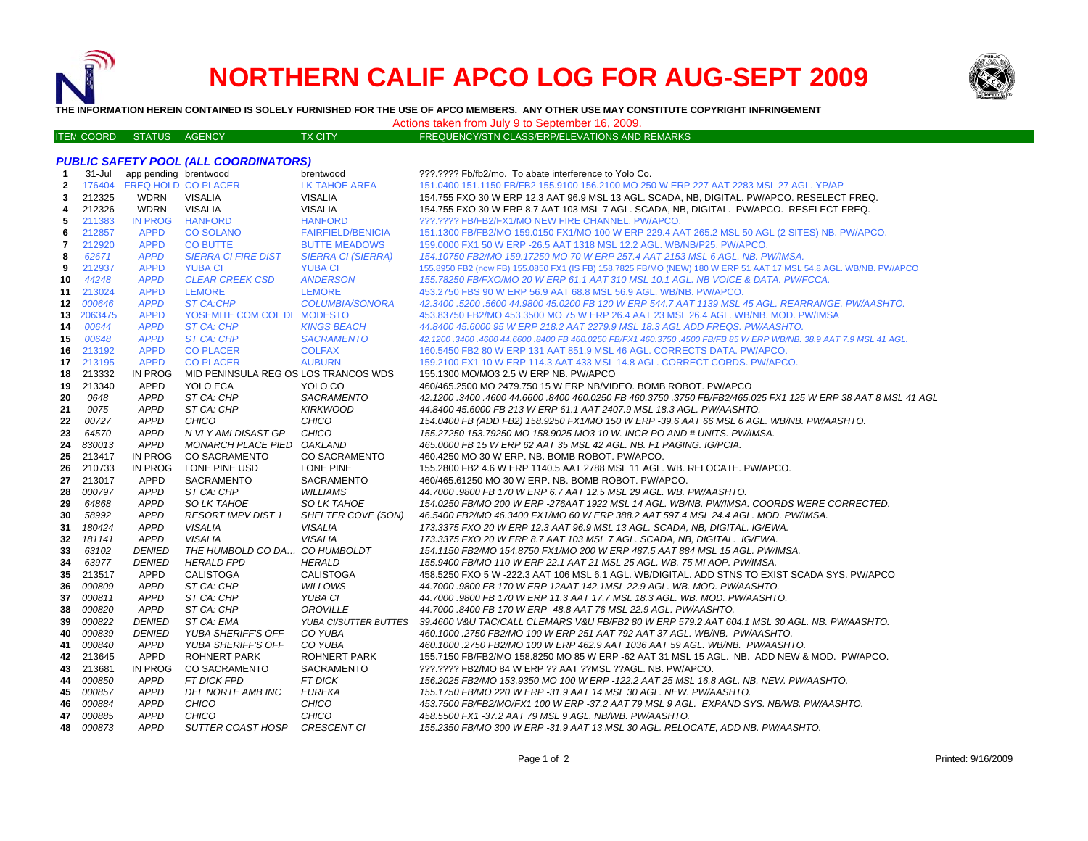

ITE M

# **NORTHERN CALIF APCO LOG FOR AUG-SEPT 2009**



**THE INFORMATION HEREIN CONTAINED IS SOLELY FURNISHED FOR THE USE OF APCO MEMBERS. ANY OTHER USE MAY CONSTITUTE COPYRIGHT INFRINGEMENT**

# Actions taken from July 9 to September 16, 2009.

TX CITY FREQUENCY/STN CLASS/ERP/ELEVATIONS AND REMARKS

| -1             | $31 -$ Jul | app pending brentwood      |                               | brentwood                                                                     | ???.???? Fb/fb2/mo. To abate interference to Yolo Co.                                                              |
|----------------|------------|----------------------------|-------------------------------|-------------------------------------------------------------------------------|--------------------------------------------------------------------------------------------------------------------|
| $\mathbf{2}$   |            | 176404 FREQ HOLD CO PLACER |                               | LK TAHOE AREA                                                                 | 151.0400 151.1150 FB/FB2 155.9100 156.2100 MO 250 W ERP 227 AAT 2283 MSL 27 AGL. YP/AP                             |
| 3              | 212325     | WDRN                       | VISALIA                       | <b>VISALIA</b>                                                                | 154.755 FXO 30 W ERP 12.3 AAT 96.9 MSL 13 AGL. SCADA, NB, DIGITAL. PW/APCO. RESELECT FREQ.                         |
| 4              | 212326     | <b>WDRN</b>                | <b>VISALIA</b>                | <b>VISALIA</b>                                                                | 154.755 FXO 30 W ERP 8.7 AAT 103 MSL 7 AGL. SCADA, NB, DIGITAL. PW/APCO. RESELECT FREQ.                            |
| 5              | 211383     | <b>IN PROG</b>             | <b>HANFORD</b>                | <b>HANFORD</b>                                                                | ???.???? FB/FB2/FX1/MO NEW FIRE CHANNEL. PW/APCO.                                                                  |
| 6              | 212857     | <b>APPD</b>                | <b>CO SOLANO</b>              | <b>FAIRFIELD/BENICIA</b>                                                      | 151.1300 FB/FB2/MO 159.0150 FX1/MO 100 W ERP 229.4 AAT 265.2 MSL 50 AGL (2 SITES) NB. PW/APCO.                     |
| $\overline{7}$ | 212920     | <b>APPD</b>                | <b>CO BUTTE</b>               | <b>BUTTE MEADOWS</b>                                                          | 159.0000 FX1 50 W ERP -26.5 AAT 1318 MSL 12.2 AGL. WB/NB/P25. PW/APCO.                                             |
| 8              | 62671      | <b>APPD</b>                | <b>SIERRA CI FIRE DIST</b>    | <b>SIERRA CI (SIERRA)</b>                                                     | 154.10750 FB2/MO 159.17250 MO 70 W ERP 257.4 AAT 2153 MSL 6 AGL. NB. PW/IMSA.                                      |
| 9              | 212937     | <b>APPD</b>                | <b>YUBA CI</b>                | <b>YUBA CI</b>                                                                | 155.8950 FB2 (now FB) 155.0850 FX1 (IS FB) 158.7825 FB/MO (NEW) 180 W ERP 51 AAT 17 MSL 54.8 AGL. WB/NB. PW/APCO   |
| 10             | 44248      | <b>APPD</b>                | <b>CLEAR CREEK CSD</b>        | <b>ANDERSON</b>                                                               | 155.78250 FB/FXO/MO 20 W ERP 61.1 AAT 310 MSL 10.1 AGL. NB VOICE & DATA. PW/FCCA.                                  |
| 11             | 213024     | <b>APPD</b>                | <b>LEMORE</b>                 | <b>LEMORE</b>                                                                 | 453.2750 FBS 90 W ERP 56.9 AAT 68.8 MSL 56.9 AGL. WB/NB. PW/APCO.                                                  |
| 12             | 000646     | <b>APPD</b>                | <b>ST CA:CHP</b>              | COLUMBIA/SONORA                                                               | 42.3400.5200.5600 44.9800 45.0200 FB 120 W ERP 544.7 AAT 1139 MSL 45 AGL. REARRANGE. PW/AASHTO.                    |
| 13             | 2063475    | <b>APPD</b>                | YOSEMITE COM COL DI MODESTO   |                                                                               | 453.83750 FB2/MO 453.3500 MO 75 W ERP 26.4 AAT 23 MSL 26.4 AGL. WB/NB. MOD. PW/IMSA                                |
| 14             | 00644      | <b>APPD</b>                | ST CA: CHP                    | <b>KINGS BEACH</b>                                                            | 44.8400 45.6000 95 W ERP 218.2 AAT 2279.9 MSL 18.3 AGL ADD FREQS. PW/AASHTO.                                       |
| 15             | 00648      | <b>APPD</b>                | ST CA: CHP                    | <b>SACRAMENTO</b>                                                             | 42.1200 .3400 .4600 44.6600 .8400 FB 460.0250 FB/FX1 460.3750 .4500 FB/FB 85 W ERP WB/NB. 38.9 AAT 7.9 MSL 41 AGL. |
| 16.            | 213192     | <b>APPD</b>                | <b>CO PLACER</b>              | <b>COLFAX</b>                                                                 | 160.5450 FB2 80 W ERP 131 AAT 851.9 MSL 46 AGL. CORRECTS DATA. PW/APCO.                                            |
| 17             | 213195     | <b>APPD</b>                | <b>CO PLACER</b>              | <b>AUBURN</b>                                                                 | 159.2100 FX1 10 W ERP 114.3 AAT 433 MSL 14.8 AGL. CORRECT CORDS. PW/APCO.                                          |
| 18             | 213332     | IN PROG                    |                               | MID PENINSULA REG OS LOS TRANCOS WDS<br>155.1300 MO/MO3 2.5 W ERP NB. PW/APCO |                                                                                                                    |
| 19             | 213340     | APPD                       | YOLO ECA                      | YOLO CO                                                                       | 460/465.2500 MO 2479.750 15 W ERP NB/VIDEO. BOMB ROBOT. PW/APCO                                                    |
| 20             | 0648       | <b>APPD</b>                | ST CA: CHP                    | <b>SACRAMENTO</b>                                                             | 42.1200 .3400 .4600 44.6600 .8400 460.0250 FB 460.3750 .3750 FB/FB2/465.025 FX1 125 W ERP 38 AAT 8 MSL 41 AGL      |
| 21             | 0075       | <b>APPD</b>                | ST CA: CHP                    | <b>KIRKWOOD</b>                                                               | 44.8400 45.6000 FB 213 W ERP 61.1 AAT 2407.9 MSL 18.3 AGL. PW/AASHTO.                                              |
| 22             | 00727      | <b>APPD</b>                | CHICO                         | CHICO                                                                         | 154.0400 FB (ADD FB2) 158.9250 FX1/MO 150 W ERP -39.6 AAT 66 MSL 6 AGL. WB/NB. PW/AASHTO.                          |
| 23             | 64570      | <b>APPD</b>                | N VLY AMI DISAST GP           | CHICO                                                                         | 155.27250 153.79250 MO 158.9025 MO3 10 W. INCR PO AND # UNITS. PW/IMSA.                                            |
| 24             | 830013     | <b>APPD</b>                | MONARCH PLACE PIED OAKLAND    |                                                                               | 465.0000 FB 15 W ERP 62 AAT 35 MSL 42 AGL. NB. F1 PAGING. IG/PCIA.                                                 |
| 25             | 213417     | IN PROG                    | <b>CO SACRAMENTO</b>          | <b>CO SACRAMENTO</b>                                                          | 460.4250 MO 30 W ERP. NB. BOMB ROBOT. PW/APCO.                                                                     |
| 26             | 210733     | IN PROG                    | LONE PINE USD                 | LONE PINE                                                                     | 155.2800 FB2 4.6 W ERP 1140.5 AAT 2788 MSL 11 AGL. WB. RELOCATE. PW/APCO.                                          |
| 27             | 213017     | APPD                       | SACRAMENTO                    | <b>SACRAMENTO</b>                                                             | 460/465.61250 MO 30 W ERP. NB. BOMB ROBOT. PW/APCO.                                                                |
| 28             | 000797     | APPD                       | ST CA: CHP                    | <b>WILLIAMS</b>                                                               | 44.7000 .9800 FB 170 W ERP 6.7 AAT 12.5 MSL 29 AGL. WB. PW/AASHTO.                                                 |
| 29             | 64868      | <b>APPD</b>                | <b>SO LK TAHOE</b>            | SO LK TAHOE                                                                   | 154.0250 FB/MO 200 W ERP -276AAT 1922 MSL 14 AGL. WB/NB. PW/IMSA. COORDS WERE CORRECTED.                           |
| 30             | 58992      | <b>APPD</b>                | <b>RESORT IMPV DIST 1</b>     | SHELTER COVE (SON)                                                            | 46.5400 FB2/MO 46.3400 FX1/MO 60 W ERP 388.2 AAT 597.4 MSL 24.4 AGL. MOD. PW/IMSA.                                 |
| 31             | 180424     | <b>APPD</b>                | <b>VISALIA</b>                | <b>VISALIA</b>                                                                | 173.3375 FXO 20 W ERP 12.3 AAT 96.9 MSL 13 AGL. SCADA, NB, DIGITAL. IG/EWA.                                        |
| 32             | 181141     | <b>APPD</b>                | <b>VISALIA</b>                | <b>VISALIA</b>                                                                | 173.3375 FXO 20 W ERP 8.7 AAT 103 MSL 7 AGL. SCADA, NB, DIGITAL. IG/EWA.                                           |
| 33             | 63102      | <b>DENIED</b>              | THE HUMBOLD CO DA CO HUMBOLDT |                                                                               | 154.1150 FB2/MO 154.8750 FX1/MO 200 W ERP 487.5 AAT 884 MSL 15 AGL. PW/IMSA.                                       |
| 34             | 63977      | <b>DENIED</b>              | <b>HERALD FPD</b>             | <b>HERALD</b>                                                                 | 155.9400 FB/MO 110 W ERP 22.1 AAT 21 MSL 25 AGL. WB. 75 MI AOP. PW/IMSA.                                           |
| 35             | 213517     | APPD                       | CALISTOGA                     | <b>CALISTOGA</b>                                                              | 458.5250 FXO 5 W -222.3 AAT 106 MSL 6.1 AGL. WB/DIGITAL. ADD STNS TO EXIST SCADA SYS. PW/APCO                      |
| 36             | 000809     | <b>APPD</b>                | ST CA: CHP                    | <b>WILLOWS</b>                                                                | 44.7000 .9800 FB 170 W ERP 12AAT 142.1MSL 22.9 AGL. WB. MOD. PW/AASHTO.                                            |
| 37             | 000811     | APPD                       | ST CA: CHP                    | YUBA CI                                                                       | 44.7000 .9800 FB 170 W ERP 11.3 AAT 17.7 MSL 18.3 AGL. WB. MOD. PW/AASHTO.                                         |
| 38             | 000820     | <b>APPD</b>                | ST CA: CHP                    | OROVILLE                                                                      | 44.7000 .8400 FB 170 W ERP -48.8 AAT 76 MSL 22.9 AGL. PW/AASHTO.                                                   |
| 39             | 000822     | <b>DENIED</b>              | ST CA: EMA                    | <b>YUBA CI/SUTTER BUTTES</b>                                                  | 39.4600 V&U TAC/CALL CLEMARS V&U FB/FB2 80 W ERP 579.2 AAT 604.1 MSL 30 AGL. NB. PW/AASHTO.                        |
| 40             | 000839     | <b>DENIED</b>              | <b>YUBA SHERIFF'S OFF</b>     | CO YUBA                                                                       | 460.1000 .2750 FB2/MO 100 W ERP 251 AAT 792 AAT 37 AGL. WB/NB. PW/AASHTO.                                          |
| 41             | 000840     | <b>APPD</b>                | <b>YUBA SHERIFF'S OFF</b>     | CO YUBA                                                                       | 460.1000.2750 FB2/MO 100 W ERP 462.9 AAT 1036 AAT 59 AGL. WB/NB. PW/AASHTO.                                        |
| 42             | 213645     | <b>APPD</b>                | <b>ROHNERT PARK</b>           | ROHNERT PARK                                                                  | 155.7150 FB/FB2/MO 158.8250 MO 85 W ERP -62 AAT 31 MSL 15 AGL. NB. ADD NEW & MOD. PW/APCO.                         |
| 43             | 213681     | IN PROG                    | <b>CO SACRAMENTO</b>          | SACRAMENTO                                                                    | ???.???? FB2/MO 84 W ERP ?? AAT ??MSL ??AGL. NB. PW/APCO.                                                          |
| 44             | 000850     | <b>APPD</b>                | <b>FT DICK FPD</b>            | <b>FT DICK</b>                                                                | 156.2025 FB2/MO 153.9350 MO 100 W ERP -122.2 AAT 25 MSL 16.8 AGL. NB. NEW. PW/AASHTO.                              |
| 45             | 000857     | <b>APPD</b>                | DEL NORTE AMB INC             | <b>EUREKA</b>                                                                 | 155.1750 FB/MO 220 W ERP -31.9 AAT 14 MSL 30 AGL. NEW. PW/AASHTO.                                                  |
| 46             | 000884     | <b>APPD</b>                | CHICO                         | CHICO                                                                         | 453.7500 FB/FB2/MO/FX1 100 W ERP -37.2 AAT 79 MSL 9 AGL. EXPAND SYS. NB/WB. PW/AASHTO.                             |
|                | 47 000885  | <b>APPD</b>                | CHICO                         | <b>CHICO</b>                                                                  | 458.5500 FX1 -37.2 AAT 79 MSL 9 AGL. NB/WB. PW/AASHTO.                                                             |
| 48             | 000873     | <b>APPD</b>                | SUTTER COAST HOSP             | <b>CRESCENT CI</b>                                                            | 155.2350 FB/MO 300 W ERP -31.9 AAT 13 MSL 30 AGL. RELOCATE, ADD NB. PW/AASHTO.                                     |